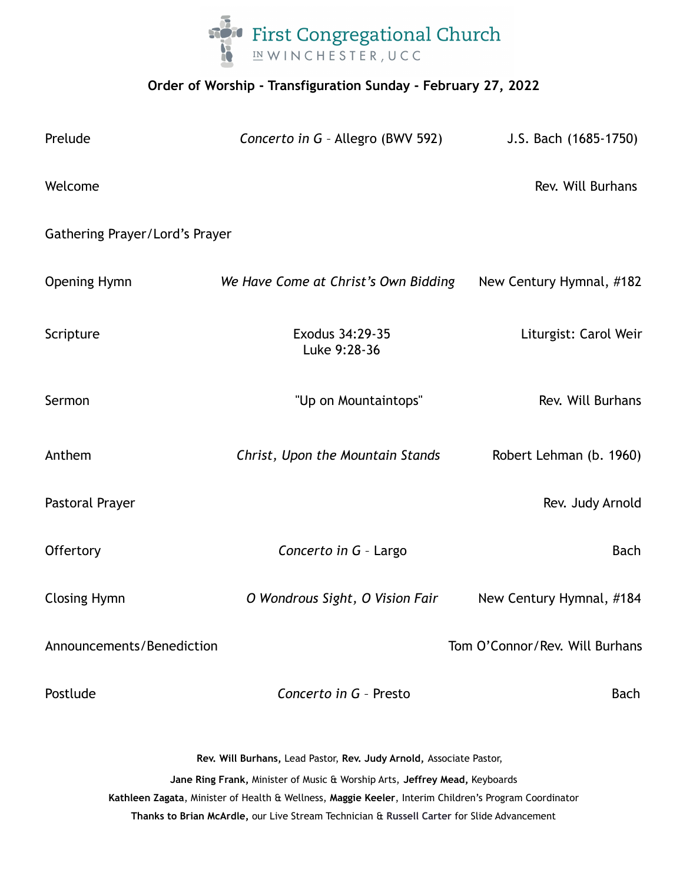

# **Order of Worship - Transfiguration Sunday - February 27, 2022**

| Prelude                                                                                                                                                                                                                                                                                                                                                  | Concerto in G - Allegro (BWV 592)    | J.S. Bach (1685-1750)    |
|----------------------------------------------------------------------------------------------------------------------------------------------------------------------------------------------------------------------------------------------------------------------------------------------------------------------------------------------------------|--------------------------------------|--------------------------|
| Welcome                                                                                                                                                                                                                                                                                                                                                  |                                      | Rev. Will Burhans        |
| Gathering Prayer/Lord's Prayer                                                                                                                                                                                                                                                                                                                           |                                      |                          |
| <b>Opening Hymn</b>                                                                                                                                                                                                                                                                                                                                      | We Have Come at Christ's Own Bidding | New Century Hymnal, #182 |
| Scripture                                                                                                                                                                                                                                                                                                                                                | Exodus 34:29-35<br>Luke 9:28-36      | Liturgist: Carol Weir    |
| Sermon                                                                                                                                                                                                                                                                                                                                                   | "Up on Mountaintops"                 | Rev. Will Burhans        |
| Anthem                                                                                                                                                                                                                                                                                                                                                   | Christ, Upon the Mountain Stands     | Robert Lehman (b. 1960)  |
| Pastoral Prayer                                                                                                                                                                                                                                                                                                                                          |                                      | Rev. Judy Arnold         |
| Offertory                                                                                                                                                                                                                                                                                                                                                | Concerto in G - Largo                | <b>Bach</b>              |
| <b>Closing Hymn</b>                                                                                                                                                                                                                                                                                                                                      | O Wondrous Sight, O Vision Fair      | New Century Hymnal, #184 |
| Announcements/Benediction                                                                                                                                                                                                                                                                                                                                | Tom O'Connor/Rev. Will Burhans       |                          |
| Postlude                                                                                                                                                                                                                                                                                                                                                 | Concerto in G - Presto               | <b>Bach</b>              |
| Rev. Will Burhans, Lead Pastor, Rev. Judy Arnold, Associate Pastor,<br>Jane Ring Frank, Minister of Music & Worship Arts, Jeffrey Mead, Keyboards<br>Kathleen Zagata, Minister of Health & Wellness, Maggie Keeler, Interim Children's Program Coordinator<br>Thanks to Brian McArdle, our Live Stream Technician & Russell Carter for Slide Advancement |                                      |                          |